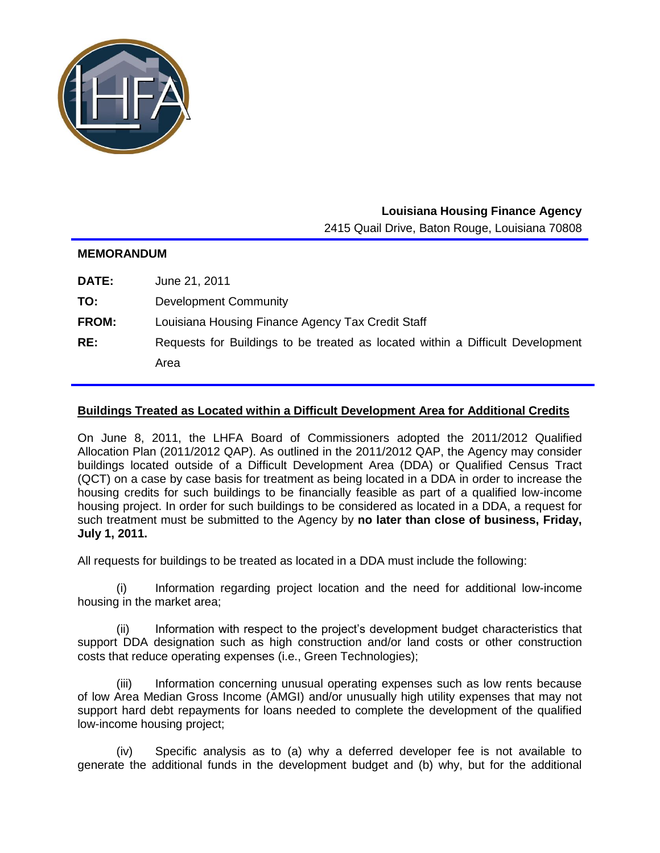

## **Louisiana Housing Finance Agency** 2415 Quail Drive, Baton Rouge, Louisiana 70808

## **MEMORANDUM**

| <b>DATE:</b> | June 21, 2011                                                                  |
|--------------|--------------------------------------------------------------------------------|
| TO:          | Development Community                                                          |
| <b>FROM:</b> | Louisiana Housing Finance Agency Tax Credit Staff                              |
| RE:          | Requests for Buildings to be treated as located within a Difficult Development |
|              | Area                                                                           |

## **Buildings Treated as Located within a Difficult Development Area for Additional Credits**

On June 8, 2011, the LHFA Board of Commissioners adopted the 2011/2012 Qualified Allocation Plan (2011/2012 QAP). As outlined in the 2011/2012 QAP, the Agency may consider buildings located outside of a Difficult Development Area (DDA) or Qualified Census Tract (QCT) on a case by case basis for treatment as being located in a DDA in order to increase the housing credits for such buildings to be financially feasible as part of a qualified low-income housing project. In order for such buildings to be considered as located in a DDA, a request for such treatment must be submitted to the Agency by **no later than close of business, Friday, July 1, 2011.**

All requests for buildings to be treated as located in a DDA must include the following:

Information regarding project location and the need for additional low-income housing in the market area;

(ii) Information with respect to the project's development budget characteristics that support DDA designation such as high construction and/or land costs or other construction costs that reduce operating expenses (i.e., Green Technologies);

(iii) Information concerning unusual operating expenses such as low rents because of low Area Median Gross Income (AMGI) and/or unusually high utility expenses that may not support hard debt repayments for loans needed to complete the development of the qualified low-income housing project;

(iv) Specific analysis as to (a) why a deferred developer fee is not available to generate the additional funds in the development budget and (b) why, but for the additional